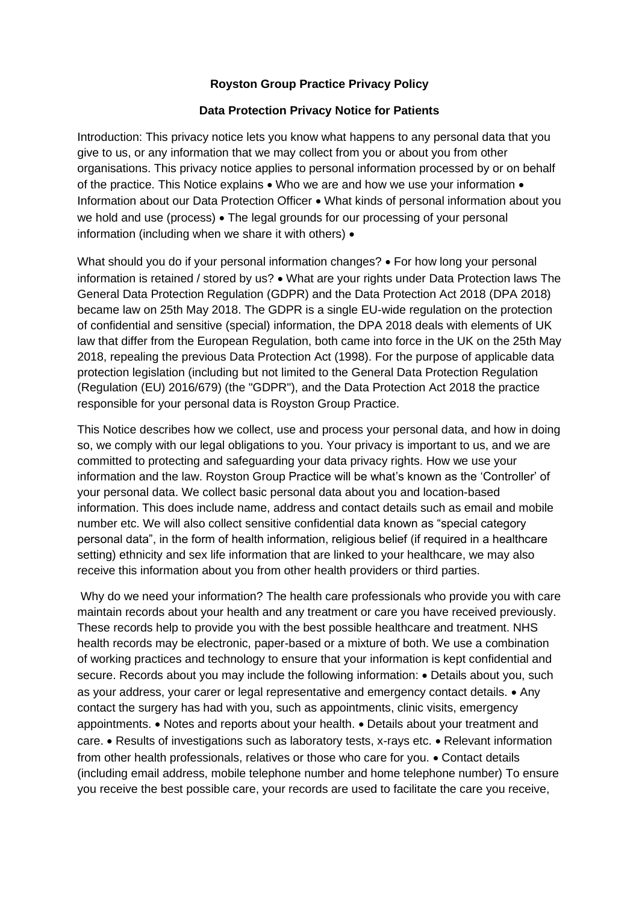## **Royston Group Practice Privacy Policy**

## **Data Protection Privacy Notice for Patients**

Introduction: This privacy notice lets you know what happens to any personal data that you give to us, or any information that we may collect from you or about you from other organisations. This privacy notice applies to personal information processed by or on behalf of the practice. This Notice explains • Who we are and how we use your information • Information about our Data Protection Officer • What kinds of personal information about you we hold and use (process) • The legal grounds for our processing of your personal information (including when we share it with others) •

What should you do if your personal information changes? • For how long your personal information is retained / stored by us? • What are your rights under Data Protection laws The General Data Protection Regulation (GDPR) and the Data Protection Act 2018 (DPA 2018) became law on 25th May 2018. The GDPR is a single EU-wide regulation on the protection of confidential and sensitive (special) information, the DPA 2018 deals with elements of UK law that differ from the European Regulation, both came into force in the UK on the 25th May 2018, repealing the previous Data Protection Act (1998). For the purpose of applicable data protection legislation (including but not limited to the General Data Protection Regulation (Regulation (EU) 2016/679) (the "GDPR"), and the Data Protection Act 2018 the practice responsible for your personal data is Royston Group Practice.

This Notice describes how we collect, use and process your personal data, and how in doing so, we comply with our legal obligations to you. Your privacy is important to us, and we are committed to protecting and safeguarding your data privacy rights. How we use your information and the law. Royston Group Practice will be what's known as the 'Controller' of your personal data. We collect basic personal data about you and location-based information. This does include name, address and contact details such as email and mobile number etc. We will also collect sensitive confidential data known as "special category personal data", in the form of health information, religious belief (if required in a healthcare setting) ethnicity and sex life information that are linked to your healthcare, we may also receive this information about you from other health providers or third parties.

Why do we need your information? The health care professionals who provide you with care maintain records about your health and any treatment or care you have received previously. These records help to provide you with the best possible healthcare and treatment. NHS health records may be electronic, paper-based or a mixture of both. We use a combination of working practices and technology to ensure that your information is kept confidential and secure. Records about you may include the following information: • Details about you, such as your address, your carer or legal representative and emergency contact details. • Any contact the surgery has had with you, such as appointments, clinic visits, emergency appointments. • Notes and reports about your health. • Details about your treatment and care. • Results of investigations such as laboratory tests, x-rays etc. • Relevant information from other health professionals, relatives or those who care for you. • Contact details (including email address, mobile telephone number and home telephone number) To ensure you receive the best possible care, your records are used to facilitate the care you receive,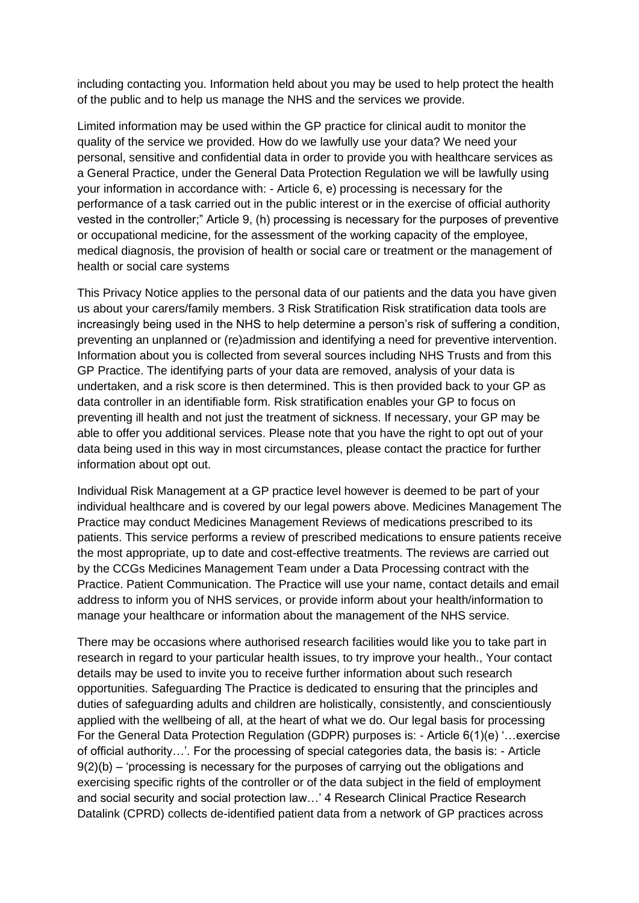including contacting you. Information held about you may be used to help protect the health of the public and to help us manage the NHS and the services we provide.

Limited information may be used within the GP practice for clinical audit to monitor the quality of the service we provided. How do we lawfully use your data? We need your personal, sensitive and confidential data in order to provide you with healthcare services as a General Practice, under the General Data Protection Regulation we will be lawfully using your information in accordance with: - Article 6, e) processing is necessary for the performance of a task carried out in the public interest or in the exercise of official authority vested in the controller;" Article 9, (h) processing is necessary for the purposes of preventive or occupational medicine, for the assessment of the working capacity of the employee, medical diagnosis, the provision of health or social care or treatment or the management of health or social care systems

This Privacy Notice applies to the personal data of our patients and the data you have given us about your carers/family members. 3 Risk Stratification Risk stratification data tools are increasingly being used in the NHS to help determine a person's risk of suffering a condition, preventing an unplanned or (re)admission and identifying a need for preventive intervention. Information about you is collected from several sources including NHS Trusts and from this GP Practice. The identifying parts of your data are removed, analysis of your data is undertaken, and a risk score is then determined. This is then provided back to your GP as data controller in an identifiable form. Risk stratification enables your GP to focus on preventing ill health and not just the treatment of sickness. If necessary, your GP may be able to offer you additional services. Please note that you have the right to opt out of your data being used in this way in most circumstances, please contact the practice for further information about opt out.

Individual Risk Management at a GP practice level however is deemed to be part of your individual healthcare and is covered by our legal powers above. Medicines Management The Practice may conduct Medicines Management Reviews of medications prescribed to its patients. This service performs a review of prescribed medications to ensure patients receive the most appropriate, up to date and cost-effective treatments. The reviews are carried out by the CCGs Medicines Management Team under a Data Processing contract with the Practice. Patient Communication. The Practice will use your name, contact details and email address to inform you of NHS services, or provide inform about your health/information to manage your healthcare or information about the management of the NHS service.

There may be occasions where authorised research facilities would like you to take part in research in regard to your particular health issues, to try improve your health., Your contact details may be used to invite you to receive further information about such research opportunities. Safeguarding The Practice is dedicated to ensuring that the principles and duties of safeguarding adults and children are holistically, consistently, and conscientiously applied with the wellbeing of all, at the heart of what we do. Our legal basis for processing For the General Data Protection Regulation (GDPR) purposes is: - Article 6(1)(e) '…exercise of official authority…'. For the processing of special categories data, the basis is: - Article  $9(2)(b)$  – 'processing is necessary for the purposes of carrying out the obligations and exercising specific rights of the controller or of the data subject in the field of employment and social security and social protection law…' 4 Research Clinical Practice Research Datalink (CPRD) collects de-identified patient data from a network of GP practices across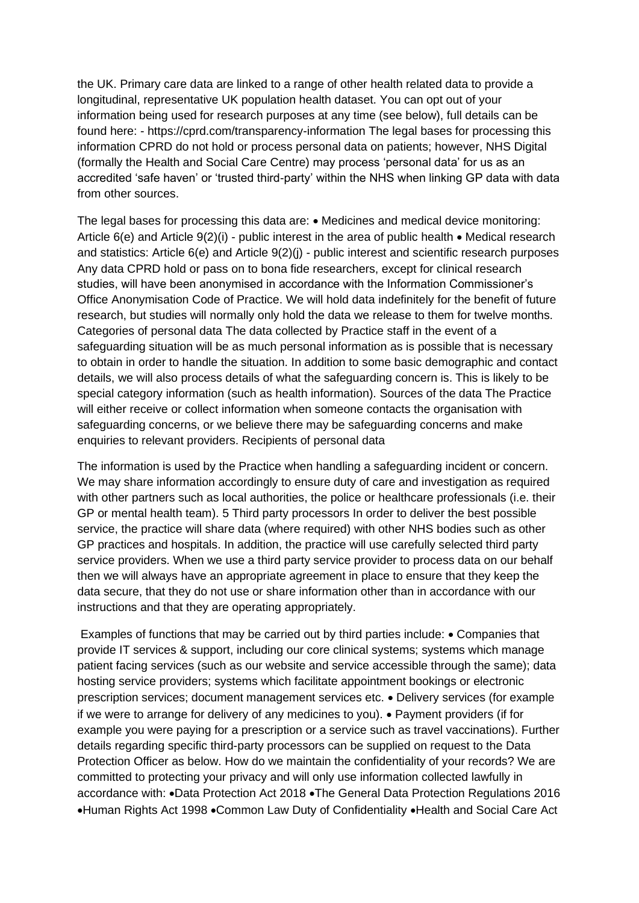the UK. Primary care data are linked to a range of other health related data to provide a longitudinal, representative UK population health dataset. You can opt out of your information being used for research purposes at any time (see below), full details can be found here: - https://cprd.com/transparency-information The legal bases for processing this information CPRD do not hold or process personal data on patients; however, NHS Digital (formally the Health and Social Care Centre) may process 'personal data' for us as an accredited 'safe haven' or 'trusted third-party' within the NHS when linking GP data with data from other sources.

The legal bases for processing this data are: • Medicines and medical device monitoring: Article 6(e) and Article 9(2)(i) - public interest in the area of public health • Medical research and statistics: Article 6(e) and Article 9(2)(j) - public interest and scientific research purposes Any data CPRD hold or pass on to bona fide researchers, except for clinical research studies, will have been anonymised in accordance with the Information Commissioner's Office Anonymisation Code of Practice. We will hold data indefinitely for the benefit of future research, but studies will normally only hold the data we release to them for twelve months. Categories of personal data The data collected by Practice staff in the event of a safeguarding situation will be as much personal information as is possible that is necessary to obtain in order to handle the situation. In addition to some basic demographic and contact details, we will also process details of what the safeguarding concern is. This is likely to be special category information (such as health information). Sources of the data The Practice will either receive or collect information when someone contacts the organisation with safeguarding concerns, or we believe there may be safeguarding concerns and make enquiries to relevant providers. Recipients of personal data

The information is used by the Practice when handling a safeguarding incident or concern. We may share information accordingly to ensure duty of care and investigation as required with other partners such as local authorities, the police or healthcare professionals (i.e. their GP or mental health team). 5 Third party processors In order to deliver the best possible service, the practice will share data (where required) with other NHS bodies such as other GP practices and hospitals. In addition, the practice will use carefully selected third party service providers. When we use a third party service provider to process data on our behalf then we will always have an appropriate agreement in place to ensure that they keep the data secure, that they do not use or share information other than in accordance with our instructions and that they are operating appropriately.

Examples of functions that may be carried out by third parties include: • Companies that provide IT services & support, including our core clinical systems; systems which manage patient facing services (such as our website and service accessible through the same); data hosting service providers; systems which facilitate appointment bookings or electronic prescription services; document management services etc. • Delivery services (for example if we were to arrange for delivery of any medicines to you). • Payment providers (if for example you were paying for a prescription or a service such as travel vaccinations). Further details regarding specific third-party processors can be supplied on request to the Data Protection Officer as below. How do we maintain the confidentiality of your records? We are committed to protecting your privacy and will only use information collected lawfully in accordance with: •Data Protection Act 2018 •The General Data Protection Regulations 2016 •Human Rights Act 1998 •Common Law Duty of Confidentiality •Health and Social Care Act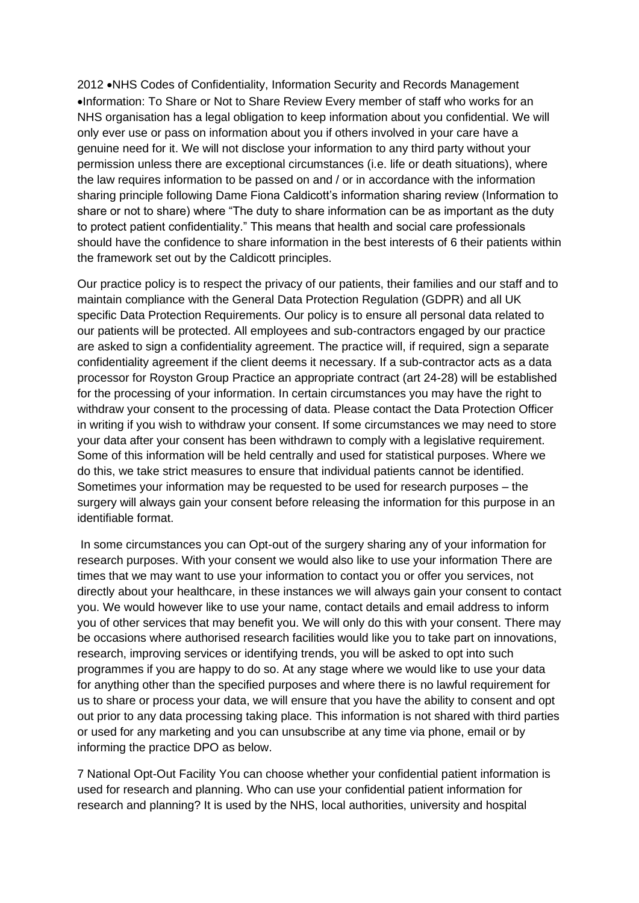2012 •NHS Codes of Confidentiality, Information Security and Records Management •Information: To Share or Not to Share Review Every member of staff who works for an NHS organisation has a legal obligation to keep information about you confidential. We will only ever use or pass on information about you if others involved in your care have a genuine need for it. We will not disclose your information to any third party without your permission unless there are exceptional circumstances (i.e. life or death situations), where the law requires information to be passed on and / or in accordance with the information sharing principle following Dame Fiona Caldicott's information sharing review (Information to share or not to share) where "The duty to share information can be as important as the duty to protect patient confidentiality." This means that health and social care professionals should have the confidence to share information in the best interests of 6 their patients within the framework set out by the Caldicott principles.

Our practice policy is to respect the privacy of our patients, their families and our staff and to maintain compliance with the General Data Protection Regulation (GDPR) and all UK specific Data Protection Requirements. Our policy is to ensure all personal data related to our patients will be protected. All employees and sub-contractors engaged by our practice are asked to sign a confidentiality agreement. The practice will, if required, sign a separate confidentiality agreement if the client deems it necessary. If a sub-contractor acts as a data processor for Royston Group Practice an appropriate contract (art 24-28) will be established for the processing of your information. In certain circumstances you may have the right to withdraw your consent to the processing of data. Please contact the Data Protection Officer in writing if you wish to withdraw your consent. If some circumstances we may need to store your data after your consent has been withdrawn to comply with a legislative requirement. Some of this information will be held centrally and used for statistical purposes. Where we do this, we take strict measures to ensure that individual patients cannot be identified. Sometimes your information may be requested to be used for research purposes – the surgery will always gain your consent before releasing the information for this purpose in an identifiable format.

In some circumstances you can Opt-out of the surgery sharing any of your information for research purposes. With your consent we would also like to use your information There are times that we may want to use your information to contact you or offer you services, not directly about your healthcare, in these instances we will always gain your consent to contact you. We would however like to use your name, contact details and email address to inform you of other services that may benefit you. We will only do this with your consent. There may be occasions where authorised research facilities would like you to take part on innovations, research, improving services or identifying trends, you will be asked to opt into such programmes if you are happy to do so. At any stage where we would like to use your data for anything other than the specified purposes and where there is no lawful requirement for us to share or process your data, we will ensure that you have the ability to consent and opt out prior to any data processing taking place. This information is not shared with third parties or used for any marketing and you can unsubscribe at any time via phone, email or by informing the practice DPO as below.

7 National Opt-Out Facility You can choose whether your confidential patient information is used for research and planning. Who can use your confidential patient information for research and planning? It is used by the NHS, local authorities, university and hospital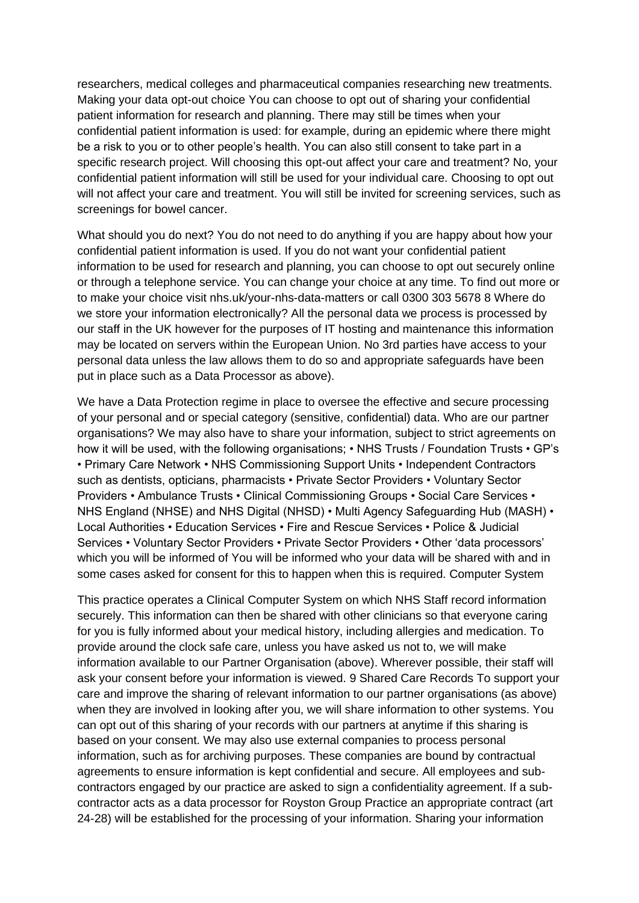researchers, medical colleges and pharmaceutical companies researching new treatments. Making your data opt-out choice You can choose to opt out of sharing your confidential patient information for research and planning. There may still be times when your confidential patient information is used: for example, during an epidemic where there might be a risk to you or to other people's health. You can also still consent to take part in a specific research project. Will choosing this opt-out affect your care and treatment? No, your confidential patient information will still be used for your individual care. Choosing to opt out will not affect your care and treatment. You will still be invited for screening services, such as screenings for bowel cancer.

What should you do next? You do not need to do anything if you are happy about how your confidential patient information is used. If you do not want your confidential patient information to be used for research and planning, you can choose to opt out securely online or through a telephone service. You can change your choice at any time. To find out more or to make your choice visit nhs.uk/your-nhs-data-matters or call 0300 303 5678 8 Where do we store your information electronically? All the personal data we process is processed by our staff in the UK however for the purposes of IT hosting and maintenance this information may be located on servers within the European Union. No 3rd parties have access to your personal data unless the law allows them to do so and appropriate safeguards have been put in place such as a Data Processor as above).

We have a Data Protection regime in place to oversee the effective and secure processing of your personal and or special category (sensitive, confidential) data. Who are our partner organisations? We may also have to share your information, subject to strict agreements on how it will be used, with the following organisations; • NHS Trusts / Foundation Trusts • GP's • Primary Care Network • NHS Commissioning Support Units • Independent Contractors such as dentists, opticians, pharmacists • Private Sector Providers • Voluntary Sector Providers • Ambulance Trusts • Clinical Commissioning Groups • Social Care Services • NHS England (NHSE) and NHS Digital (NHSD) • Multi Agency Safeguarding Hub (MASH) • Local Authorities • Education Services • Fire and Rescue Services • Police & Judicial Services • Voluntary Sector Providers • Private Sector Providers • Other 'data processors' which you will be informed of You will be informed who your data will be shared with and in some cases asked for consent for this to happen when this is required. Computer System

This practice operates a Clinical Computer System on which NHS Staff record information securely. This information can then be shared with other clinicians so that everyone caring for you is fully informed about your medical history, including allergies and medication. To provide around the clock safe care, unless you have asked us not to, we will make information available to our Partner Organisation (above). Wherever possible, their staff will ask your consent before your information is viewed. 9 Shared Care Records To support your care and improve the sharing of relevant information to our partner organisations (as above) when they are involved in looking after you, we will share information to other systems. You can opt out of this sharing of your records with our partners at anytime if this sharing is based on your consent. We may also use external companies to process personal information, such as for archiving purposes. These companies are bound by contractual agreements to ensure information is kept confidential and secure. All employees and subcontractors engaged by our practice are asked to sign a confidentiality agreement. If a subcontractor acts as a data processor for Royston Group Practice an appropriate contract (art 24-28) will be established for the processing of your information. Sharing your information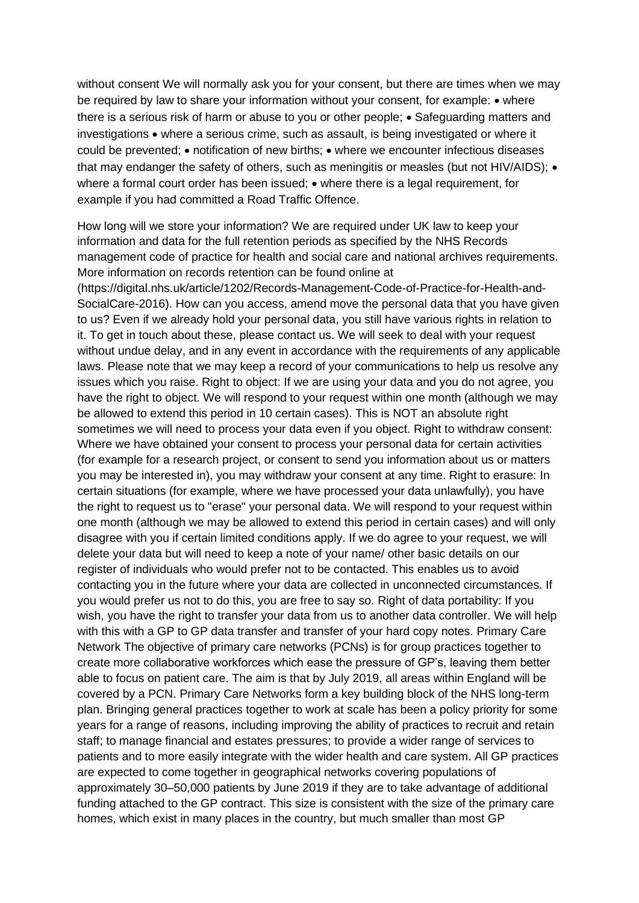without consent We will normally ask you for your consent, but there are times when we may be required by law to share your information without your consent, for example: • where there is a serious risk of harm or abuse to you or other people; • Safeguarding matters and investigations • where a serious crime, such as assault, is being investigated or where it could be prevented; • notification of new births; • where we encounter infectious diseases that may endanger the safety of others, such as meningitis or measles (but not HIV/AIDS); • where a formal court order has been issued; • where there is a legal requirement, for example if you had committed a Road Traffic Offence.

How long will we store your information? We are required under UK law to keep your information and data for the full retention periods as specified by the NHS Records management code of practice for health and social care and national archives requirements. More information on records retention can be found online at

(https://digital.nhs.uk/article/1202/Records-Management-Code-of-Practice-for-Health-and-SocialCare-2016). How can you access, amend move the personal data that you have given to us? Even if we already hold your personal data, you still have various rights in relation to it. To get in touch about these, please contact us. We will seek to deal with your request without undue delay, and in any event in accordance with the requirements of any applicable laws. Please note that we may keep a record of your communications to help us resolve any issues which you raise. Right to object: If we are using your data and you do not agree, you have the right to object. We will respond to your request within one month (although we may be allowed to extend this period in 10 certain cases). This is NOT an absolute right sometimes we will need to process your data even if you object. Right to withdraw consent: Where we have obtained your consent to process your personal data for certain activities (for example for a research project, or consent to send you information about us or matters you may be interested in), you may withdraw your consent at any time. Right to erasure: In certain situations (for example, where we have processed your data unlawfully), you have the right to request us to "erase" your personal data. We will respond to your request within one month (although we may be allowed to extend this period in certain cases) and will only disagree with you if certain limited conditions apply. If we do agree to your request, we will delete your data but will need to keep a note of your name/ other basic details on our register of individuals who would prefer not to be contacted. This enables us to avoid contacting you in the future where your data are collected in unconnected circumstances. If you would prefer us not to do this, you are free to say so. Right of data portability: If you wish, you have the right to transfer your data from us to another data controller. We will help with this with a GP to GP data transfer and transfer of your hard copy notes. Primary Care Network The objective of primary care networks (PCNs) is for group practices together to create more collaborative workforces which ease the pressure of GP's, leaving them better able to focus on patient care. The aim is that by July 2019, all areas within England will be covered by a PCN. Primary Care Networks form a key building block of the NHS long-term plan. Bringing general practices together to work at scale has been a policy priority for some years for a range of reasons, including improving the ability of practices to recruit and retain staff; to manage financial and estates pressures; to provide a wider range of services to patients and to more easily integrate with the wider health and care system. All GP practices are expected to come together in geographical networks covering populations of approximately 30–50,000 patients by June 2019 if they are to take advantage of additional funding attached to the GP contract. This size is consistent with the size of the primary care homes, which exist in many places in the country, but much smaller than most GP